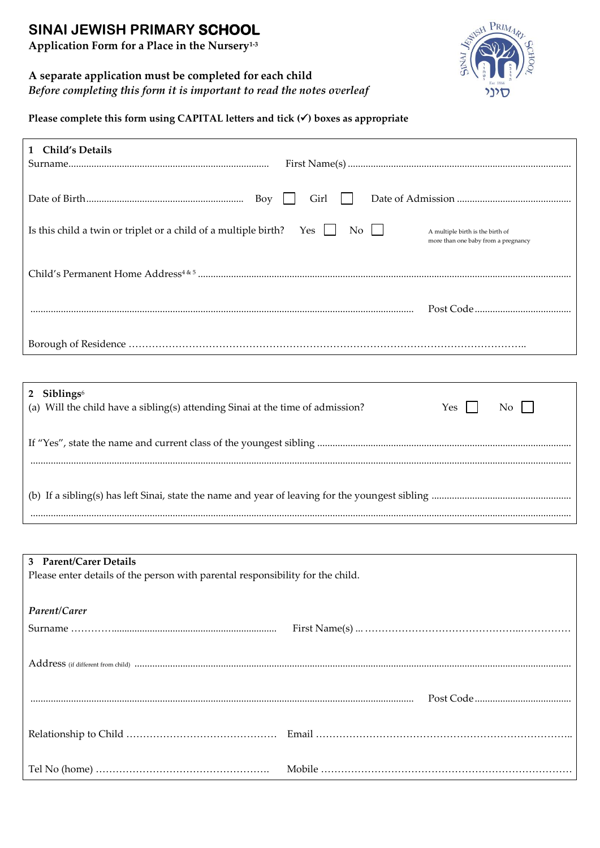# **SINAI JEWISH PRIMARY SCHOOL**

**Application Form for a Place in the Nursery1-3**

### **A separate application must be completed for each child**

*Before completing this form it is important to read the notes overleaf*



**Please complete this form using CAPITAL letters and tick () boxes as appropriate**

| 1 Child's Details                                                            |                                                                         |
|------------------------------------------------------------------------------|-------------------------------------------------------------------------|
| Girl                                                                         |                                                                         |
| Is this child a twin or triplet or a child of a multiple birth? Yes<br>No 11 | A multiple birth is the birth of<br>more than one baby from a pregnancy |
|                                                                              |                                                                         |
|                                                                              |                                                                         |
|                                                                              |                                                                         |
|                                                                              |                                                                         |

| 2 Siblings $6$<br>(a) Will the child have a sibling(s) attending Sinai at the time of admission? | Yes l | $\overline{N_{0}}$ |
|--------------------------------------------------------------------------------------------------|-------|--------------------|
|                                                                                                  |       |                    |
|                                                                                                  |       |                    |

| 3 Parent/Carer Details                                                         |  |  |  |  |
|--------------------------------------------------------------------------------|--|--|--|--|
| Please enter details of the person with parental responsibility for the child. |  |  |  |  |
|                                                                                |  |  |  |  |
|                                                                                |  |  |  |  |
| Parent/Carer                                                                   |  |  |  |  |
|                                                                                |  |  |  |  |
|                                                                                |  |  |  |  |
|                                                                                |  |  |  |  |
|                                                                                |  |  |  |  |
|                                                                                |  |  |  |  |
|                                                                                |  |  |  |  |
|                                                                                |  |  |  |  |
|                                                                                |  |  |  |  |
|                                                                                |  |  |  |  |
|                                                                                |  |  |  |  |
|                                                                                |  |  |  |  |
|                                                                                |  |  |  |  |
|                                                                                |  |  |  |  |